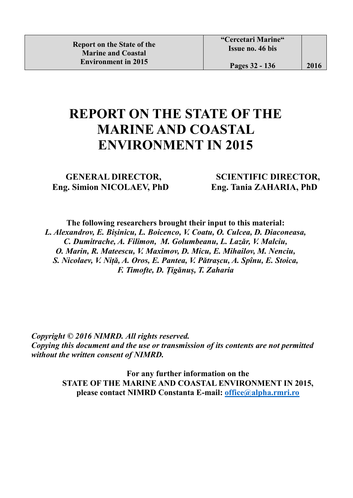## **REPORT ON THE STATE OF THE MARINE AND COASTAL ENVIRONMENT IN 2015**

 **Eng. Simion NICOLAEV, PhD Eng. Tania ZAHARIA, PhD**

## **GENERAL DIRECTOR, SCIENTIFIC DIRECTOR,**

**The following researchers brought their input to this material:** *L. Alexandrov, E. Bișinicu, L. Boicenco, V. Coatu, O. Culcea, D. Diaconeasa, C. Dumitrache, A. Filimon, M. Golumbeanu, L. Lazăr, V. Malciu, O. Marin, R. Mateescu, V. Maximov, D. Micu, E. Mihailov, M. Nenciu, S. Nicolaev, V. Niță, A. Oros, E. Pantea, V. Pătrașcu, A. Spînu, E. Stoica, F. Timofte, D. Țigănuș, T. Zaharia*

 *Copyright © 2016 NIMRD. All rights reserved. Copying this document and the use or transmission of its contents are not permitted without the written consent of NIMRD.*

> **For any further information on the STATE OF THE MARINE AND COASTAL ENVIRONMENT IN 2015, please contact NIMRD Constanta E-mail: [office@alpha.rmri.ro](mailto:office@alpha.rmri.ro)**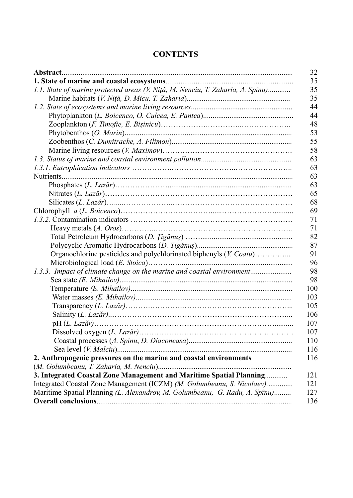## **CONTENTS**

| 1.1. State of marine protected areas (V. Niță, M. Nenciu, T. Zaharia, A. Spînu) |
|---------------------------------------------------------------------------------|
|                                                                                 |
|                                                                                 |
|                                                                                 |
|                                                                                 |
|                                                                                 |
|                                                                                 |
|                                                                                 |
|                                                                                 |
|                                                                                 |
|                                                                                 |
|                                                                                 |
|                                                                                 |
|                                                                                 |
|                                                                                 |
|                                                                                 |
|                                                                                 |
|                                                                                 |
|                                                                                 |
| Organochlorine pesticides and polychlorinated biphenyls ( <i>V. Coatu</i> )     |
|                                                                                 |
| 1.3.3. Impact of climate change on the marine and coastal environment           |
|                                                                                 |
|                                                                                 |
|                                                                                 |
|                                                                                 |
|                                                                                 |
|                                                                                 |
|                                                                                 |
|                                                                                 |
|                                                                                 |
| 2. Anthropogenic pressures on the marine and coastal environments               |
|                                                                                 |
| 3. Integrated Coastal Zone Management and Maritime Spatial Planning             |
| Integrated Coastal Zone Management (ICZM) (M. Golumbeanu, S. Nicolaev)          |
| Maritime Spatial Planning (L. Alexandrov, M. Golumbeanu, G. Radu, A. Spînu)     |
|                                                                                 |
|                                                                                 |